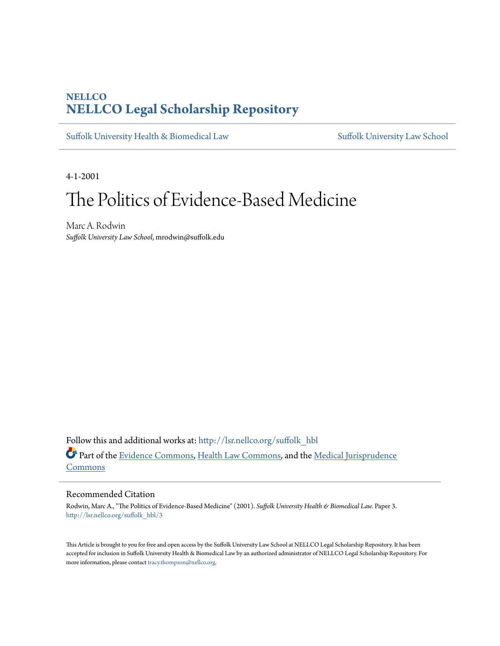# **NELLCO [NELLCO Legal Scholarship Repository](http://lsr.nellco.org?utm_source=lsr.nellco.org%2Fsuffolk_hbl%2F3&utm_medium=PDF&utm_campaign=PDFCoverPages)**

[Suffolk University Health & Biomedical Law](http://lsr.nellco.org/suffolk_hbl?utm_source=lsr.nellco.org%2Fsuffolk_hbl%2F3&utm_medium=PDF&utm_campaign=PDFCoverPages) [Suffolk University Law School](http://lsr.nellco.org/suffolk_law?utm_source=lsr.nellco.org%2Fsuffolk_hbl%2F3&utm_medium=PDF&utm_campaign=PDFCoverPages)

4-1-2001

# The Politics of Evidence-Based Medicine

Marc A. Rodwin *Suffolk University Law School*, mrodwin@suffolk.edu

Follow this and additional works at: [http://lsr.nellco.org/suffolk\\_hbl](http://lsr.nellco.org/suffolk_hbl?utm_source=lsr.nellco.org%2Fsuffolk_hbl%2F3&utm_medium=PDF&utm_campaign=PDFCoverPages) Part of the [Evidence Commons](http://network.bepress.com/hgg/discipline/601?utm_source=lsr.nellco.org%2Fsuffolk_hbl%2F3&utm_medium=PDF&utm_campaign=PDFCoverPages), [Health Law Commons,](http://network.bepress.com/hgg/discipline/901?utm_source=lsr.nellco.org%2Fsuffolk_hbl%2F3&utm_medium=PDF&utm_campaign=PDFCoverPages) and the [Medical Jurisprudence](http://network.bepress.com/hgg/discipline/860?utm_source=lsr.nellco.org%2Fsuffolk_hbl%2F3&utm_medium=PDF&utm_campaign=PDFCoverPages) [Commons](http://network.bepress.com/hgg/discipline/860?utm_source=lsr.nellco.org%2Fsuffolk_hbl%2F3&utm_medium=PDF&utm_campaign=PDFCoverPages)

#### Recommended Citation

Rodwin, Marc A., "The Politics of Evidence-Based Medicine" (2001). *Suffolk University Health & Biomedical Law.* Paper 3. [http://lsr.nellco.org/suffolk\\_hbl/3](http://lsr.nellco.org/suffolk_hbl/3?utm_source=lsr.nellco.org%2Fsuffolk_hbl%2F3&utm_medium=PDF&utm_campaign=PDFCoverPages)

This Article is brought to you for free and open access by the Suffolk University Law School at NELLCO Legal Scholarship Repository. It has been accepted for inclusion in Suffolk University Health & Biomedical Law by an authorized administrator of NELLCO Legal Scholarship Repository. For more information, please contact [tracy.thompson@nellco.org.](mailto:tracy.thompson@nellco.org)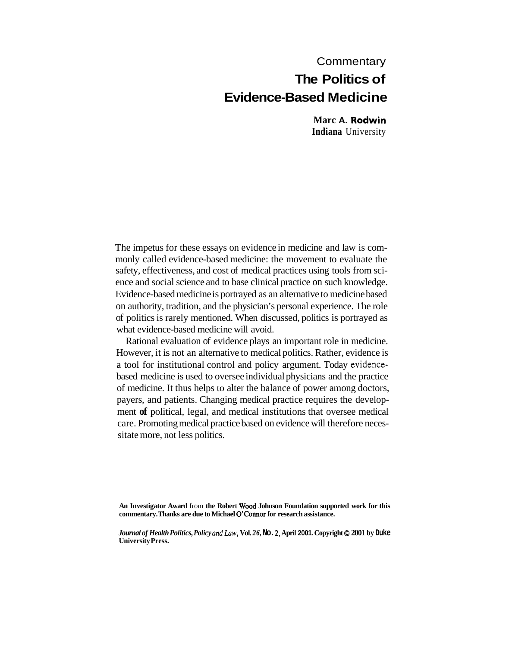# **Commentary The Politics of**

# **Evidence-Based Medicine**

**Marc A. Rodwin Indiana** University

The impetus for these essays on evidence in medicine and law is commonly called evidence-based medicine: the movement to evaluate the safety, effectiveness, and cost of medical practices using tools from science and social science and to base clinical practice on such knowledge. Evidence-based medicine is portrayed as an alternative to medicine based on authority, tradition, and the physician's personal experience. The role of politics is rarely mentioned. When discussed, politics is portrayed as what evidence-based medicine will avoid.

Rational evaluation of evidence plays an important role in medicine. However, it is not an alternative to medical politics. Rather, evidence is a tool for institutional control and policy argument. Today evidencebased medicine is used to oversee individual physicians and the practice of medicine. It thus helps to alter the balance of power among doctors, payers, and patients. Changing medical practice requires the development **of** political, legal, and medical institutions that oversee medical care. Promoting medical practice based on evidence will therefore necessitate more, not less politics.

**An Investigator Award** from **the Robert Wood Johnson Foundation supported work for this commentary. Thanks are due to Michael O'Connor for research assistance.** 

*Journal of Health Politics, Policy and Law, Vol. 26, No. 2, April 2001. Copyright © 2001 by Duke* **University Press.**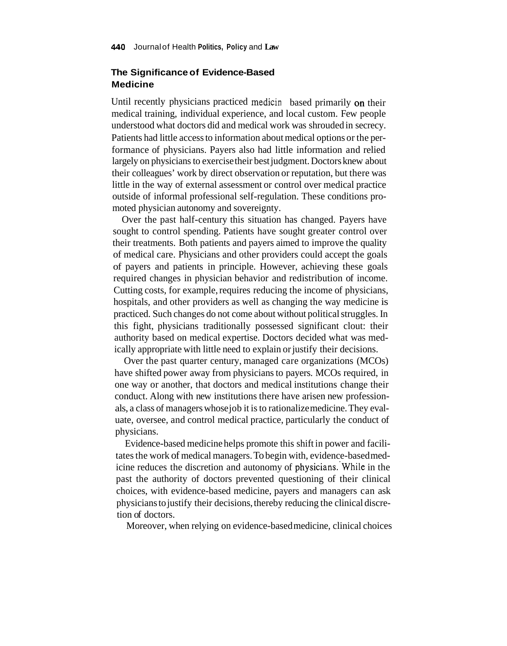## **The Significance of Evidence-Based Medicine**

Until recently physicians practiced medicin based primarily on their medical training, individual experience, and local custom. Few people understood what doctors did and medical work was shrouded in secrecy. Patients had little access to information about medical options or the performance of physicians. Payers also had little information and relied largely on physicians to exercise their best judgment. Doctors knew about their colleagues' work by direct observation or reputation, but there was little in the way of external assessment or control over medical practice outside of informal professional self-regulation. These conditions promoted physician autonomy and sovereignty.

Over the past half-century this situation has changed. Payers have sought to control spending. Patients have sought greater control over their treatments. Both patients and payers aimed to improve the quality of medical care. Physicians and other providers could accept the goals of payers and patients in principle. However, achieving these goals required changes in physician behavior and redistribution of income. Cutting costs, for example, requires reducing the income of physicians, hospitals, and other providers as well as changing the way medicine is practiced. Such changes do not come about without political struggles. In this fight, physicians traditionally possessed significant clout: their authority based on medical expertise. Doctors decided what was medically appropriate with little need to explain or justify their decisions.

Over the past quarter century, managed care organizations (MCOs) have shifted power away from physicians to payers. MCOs required, in one way or another, that doctors and medical institutions change their conduct. Along with new institutions there have arisen new professionals, a class of managers whose job it is to rationalize medicine. They evaluate, oversee, and control medical practice, particularly the conduct of physicians.

Evidence-based medicine helps promote this shift in power and facilitates the work of medical managers. To begin with, evidence-based medicine reduces the discretion and autonomy of physicians. While in the past the authority of doctors prevented questioning of their clinical choices, with evidence-based medicine, payers and managers can ask physicians to justify their decisions, thereby reducing the clinical discretion of doctors.

Moreover, when relying on evidence-based medicine, clinical choices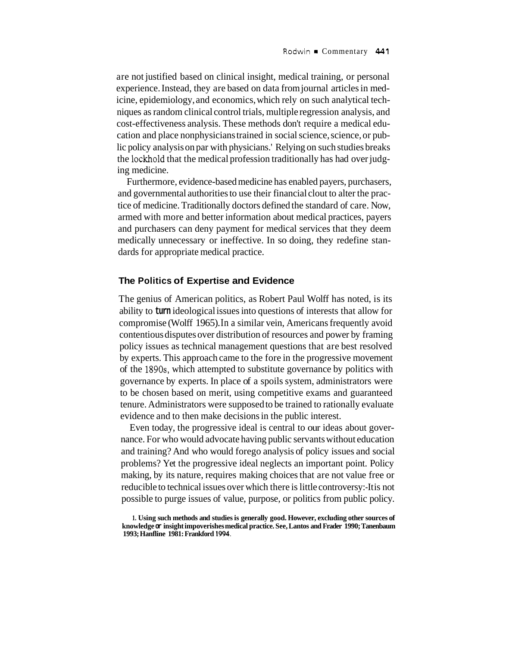are not justified based on clinical insight, medical training, or personal experience. Instead, they are based on data from journal articles in medicine, epidemiology, and economics, which rely on such analytical techniques as random clinical control trials, multiple regression analysis, and cost-effectiveness analysis. These methods don't require a medical education and place nonphysicians trained in social science, science, or public policy analysis on par with physicians.' Relying on such studies breaks the lockhold that the medical profession traditionally has had over judging medicine.

Furthermore, evidence-based medicine has enabled payers, purchasers, and governmental authorities to use their financial clout to alter the practice of medicine. Traditionally doctors defined the standard of care. Now, armed with more and better information about medical practices, payers and purchasers can deny payment for medical services that they deem medically unnecessary or ineffective. In so doing, they redefine standards for appropriate medical practice.

### **The Politics of Expertise and Evidence**

The genius of American politics, as Robert Paul Wolff has noted, is its ability to **turn** ideological issues into questions of interests that allow for compromise (Wolff 1965). In a similar vein, Americans frequently avoid contentious disputes over distribution of resources and power by framing policy issues as technical management questions that are best resolved by experts. This approach came to the fore in the progressive movement of the **1890s,** which attempted to substitute governance by politics with governance by experts. In place of a spoils system, administrators were to be chosen based on merit, using competitive exams and guaranteed tenure. Administrators were supposed to be trained to rationally evaluate evidence and to then make decisions in the public interest.

Even today, the progressive ideal is central to our ideas about governance. For who would advocate having public servants without education and training? And who would forego analysis of policy issues and social problems? Yet the progressive ideal neglects an important point. Policy making, by its nature, requires making choices that are not value free or reducible to technical issues over which there is little controversy:-It is not possible to purge issues of value, purpose, or politics from public policy.

**<sup>1.</sup> Using such methods and studies is generally good. However, excluding other sources of knowledge or insight impoverishes medical practice. See, Lantos and Frader 1990; Tanenbaum 1993; Hanfline 1981: Frankford 1994.**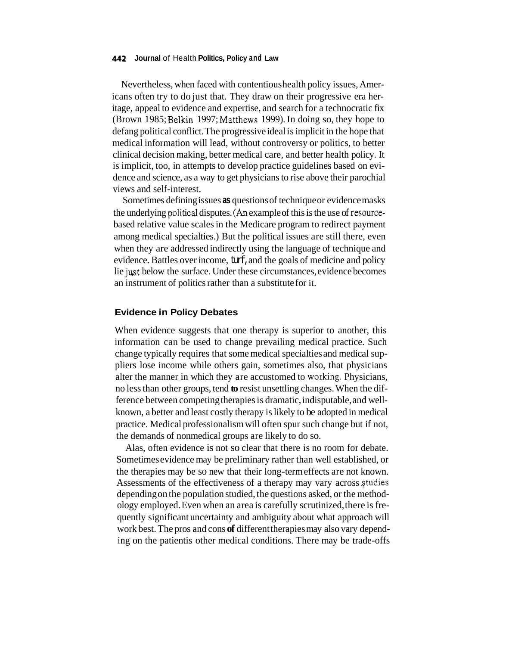#### **442 Journal** of Health **Politics, Policy and Law**

Nevertheless, when faced with contentious health policy issues, Americans often try to do just that. They draw on their progressive era heritage, appeal to evidence and expertise, and search for a technocratic fix (Brown 1985; Belkin 1997; Matthews 1999). In doing so, they hope to defang political conflict. The progressive ideal is implicit in the hope that medical information will lead, without controversy or politics, to better clinical decision making, better medical care, and better health policy. It is implicit, too, in attempts to develop practice guidelines based on evidence and science, as a way to get physicians to rise above their parochial views and self-interest.

Sometimes defining issues **as** questions of technique or evidence masks the underlying political disputes. *(An* example of this is the use of resourcebased relative value scales in the Medicare program to redirect payment among medical specialties.) But the political issues are still there, even when they are addressed indirectly using the language of technique and evidence. Battles over income, turf, and the goals of medicine and policy lie just below the surface. Under these circumstances, evidence becomes an instrument of politics rather than a substitute for it.

#### **Evidence in Policy Debates**

When evidence suggests that one therapy is superior to another, this information can be used to change prevailing medical practice. Such change typically requires that some medical specialties and medical suppliers lose income while others gain, sometimes also, that physicians alter the manner in which they are accustomed to working. Physicians, no less than other groups, tend **to** resist unsettling changes. When the difference between competing therapies is dramatic, indisputable, and wellknown, a better and least costly therapy is likely to be adopted in medical practice. Medical professionalism will often spur such change but if not, the demands of nonmedical groups are likely to do so.

Alas, often evidence is not so clear that there is no room for debate. Sometimes evidence may be preliminary rather than well established, or the therapies may be so new that their long-term effects are not known. Assessments of the effectiveness of a therapy may vary across studies depending on the population studied, the questions asked, or the methodology employed. Even when an area is carefully scrutinized, there is frequently significant uncertainty and ambiguity about what approach will work best. The pros and cons **of** different therapies may also vary depending on the patientis other medical conditions. There may be trade-offs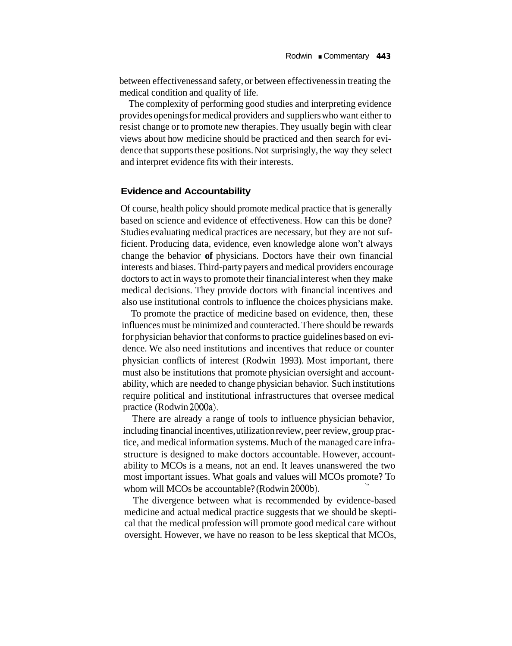between effectiveness and safety, or between effectiveness in treating the medical condition and quality of life.

The complexity of performing good studies and interpreting evidence provides openings for medical providers and suppliers who want either to resist change or to promote new therapies. They usually begin with clear views about how medicine should be practiced and then search for evidence that supports these positions. Not surprisingly, the way they select and interpret evidence fits with their interests.

#### **Evidence and Accountability**

Of course, health policy should promote medical practice that is generally based on science and evidence of effectiveness. How can this be done? Studies evaluating medical practices are necessary, but they are not sufficient. Producing data, evidence, even knowledge alone won't always change the behavior **of** physicians. Doctors have their own financial interests and biases. Third-party payers and medical providers encourage doctors to act in ways to promote their financial interest when they make medical decisions. They provide doctors with financial incentives and also use institutional controls to influence the choices physicians make.

To promote the practice of medicine based on evidence, then, these influences must be minimized and counteracted. There should be rewards for physician behavior that conforms to practice guidelines based on evidence. We also need institutions and incentives that reduce or counter physician conflicts of interest (Rodwin 1993). Most important, there must also be institutions that promote physician oversight and accountability, which are needed to change physician behavior. Such institutions require political and institutional infrastructures that oversee medical practice (Rodwin 2000a).

There are already a range of tools to influence physician behavior, including financial incentives, utilization review, peer review, group practice, and medical information systems. Much of the managed care infrastructure is designed to make doctors accountable. However, accountability to MCOs is a means, not an end. It leaves unanswered the two most important issues. What goals and values will MCOs promote? To whom will MCOs be accountable? (Rodwin 2000b).

The divergence between what is recommended by evidence-based medicine and actual medical practice suggests that we should be skeptical that the medical profession will promote good medical care without oversight. However, we have no reason to be less skeptical that MCOs,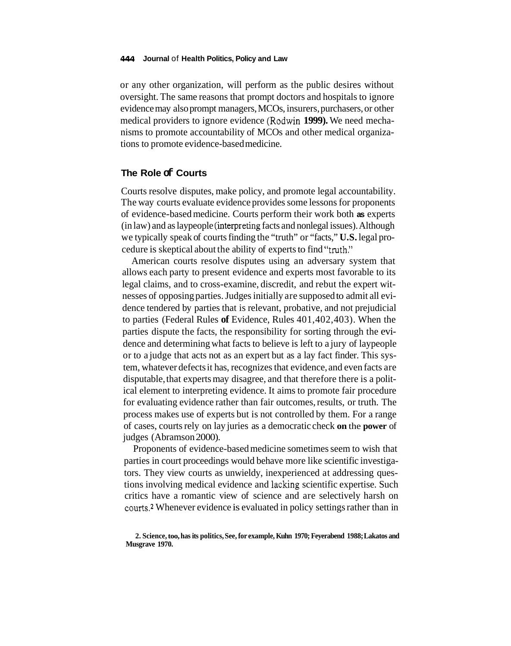or any other organization, will perform as the public desires without oversight. The same reasons that prompt doctors and hospitals to ignore evidence may also prompt managers, MCOs, insurers, purchasers, or other medical providers to ignore evidence (Rodwin **1999).** We need mechanisms to promote accountability of MCOs and other medical organizations to promote evidence-based medicine.

## **The Role of Courts**

Courts resolve disputes, make policy, and promote legal accountability. The way courts evaluate evidence provides some lessons for proponents of evidence-based medicine. Courts perform their work both **as** experts (in law) and as laypeople (interpreting facts and nonlegal issues). Although we typically speak of courts finding the "truth" or "facts," **U.S.** legal procedure is skeptical about the ability of experts to find "truth."

American courts resolve disputes using an adversary system that allows each party to present evidence and experts most favorable to its legal claims, and to cross-examine, discredit, and rebut the expert witnesses of opposing parties. Judges initially are supposed to admit all evidence tendered by parties that is relevant, probative, and not prejudicial to parties (Federal Rules **of** Evidence, Rules 401,402,403). When the parties dispute the facts, the responsibility for sorting through the evidence and determining what facts to believe is left to a jury of laypeople or to a judge that acts not as an expert but as a lay fact finder. This system, whatever defects it has, recognizes that evidence, and even facts are disputable, that experts may disagree, and that therefore there is a political element to interpreting evidence. It aims to promote fair procedure for evaluating evidence rather than fair outcomes, results, or truth. The process makes use of experts but is not controlled by them. For a range of cases, courts rely on lay juries as a democratic check **on** the **power** of judges (Abramson 2000).

Proponents of evidence-based medicine sometimes seem to wish that parties in court proceedings would behave more like scientific investigators. They view courts as unwieldy, inexperienced at addressing questions involving medical evidence and lacking scientific expertise. Such critics have a romantic view of science and are selectively harsh on courts.<sup>2</sup> Whenever evidence is evaluated in policy settings rather than in

**<sup>2.</sup> Science, too, has its politics, See, for example, Kuhn 1970; Feyerabend 1988; Lakatos and Musgrave 1970.**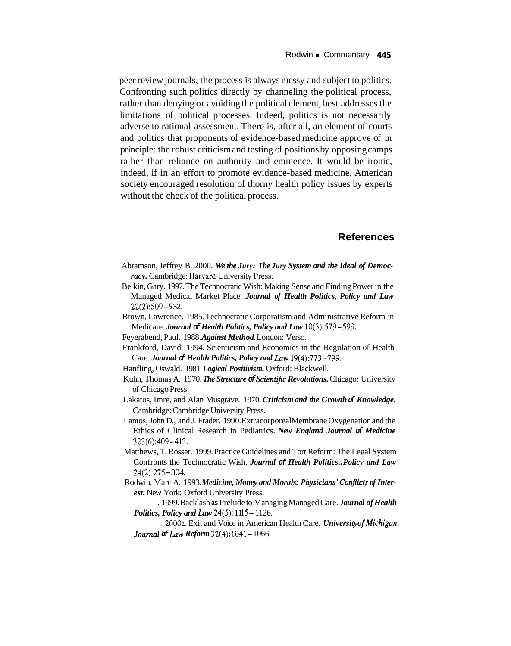peer review journals, the process is always messy and subject to politics. Confronting such politics directly by channeling the political process, rather than denying or avoiding the political element, best addresses the limitations of political processes. Indeed, politics is not necessarily adverse to rational assessment. There is, after all, an element of courts and politics that proponents of evidence-based medicine approve of in principle: the robust criticism and testing of positions by opposing camps rather than reliance on authority and eminence. It would be ironic, indeed, if in an effort to promote evidence-based medicine, American society encouraged resolution of thorny health policy issues by experts without the check of the political process.

## **References**

- Abramson, Jeffrey B. 2000. *We the Jury: The Jury System and the Ideal of Democracy.* Cambridge: Harvard University Press.
- Belkin, Gary. 1997. The Technocratic Wish: Making Sense and Finding Power in the Managed Medical Market Place. *Journal of Health Politics, Policy and Law*  22(2):509 - *5* 32.
- Brown, Lawrence. 1985. Technocratic Corporatism and Administrative Reform in Medicare. *Journal of Health Politics, Policy and Law* 10(3):579-599.
- Feyerabend, Paul. 1988. *Against Method.* London: Verso.
- Frankford, David. 1994. Scienticism and Economics in the Regulation of Health Care. *Journal & Health Politics, Policy and Law* 19(4):773-799.
- Hanfling, Oswald. 1981. *Logical Positivism.* Oxford: Blackwell.
- Kuhn, Thomas A. 1970. *The Structure of Scienrific Revolutions.* Chicago: University of Chicago Press.
- Lakatos, Imre, and Alan Musgrave. 1970. *Criticism and the Growth of Knowledge.*  Cambridge: Cambridge University Press.
- Lantos, John D., and J. Frader. 1990. Extracorporeal Membrane Oxygenation and the Ethics of Clinical Research in Pediatrics. *New England Journal of Medicine*  323(6):409-413.
- Matthews, T. Rosser. 1999. Practice Guidelines and Tort Reform: The Legal System Confronts the Technocratic Wish. *Journal of Health Politics,. Policy and Law*  24(2):275 - 304.
- Rodwin, Marc A. 1993. *Medicine, Money and Morals: Physicians'conflictj of Inter est.* New York: Oxford University Press.
	- . 1999. Backlash **as** Prelude to Managing Managed Care. *Journal of Health Politics, Policy and Law 24(5):* 1115 – 1126:
	- . 2000a. Exit and Voice in American Health Care. *University of Michigan Journal of Law Reform* 32(4):1041- 1066.